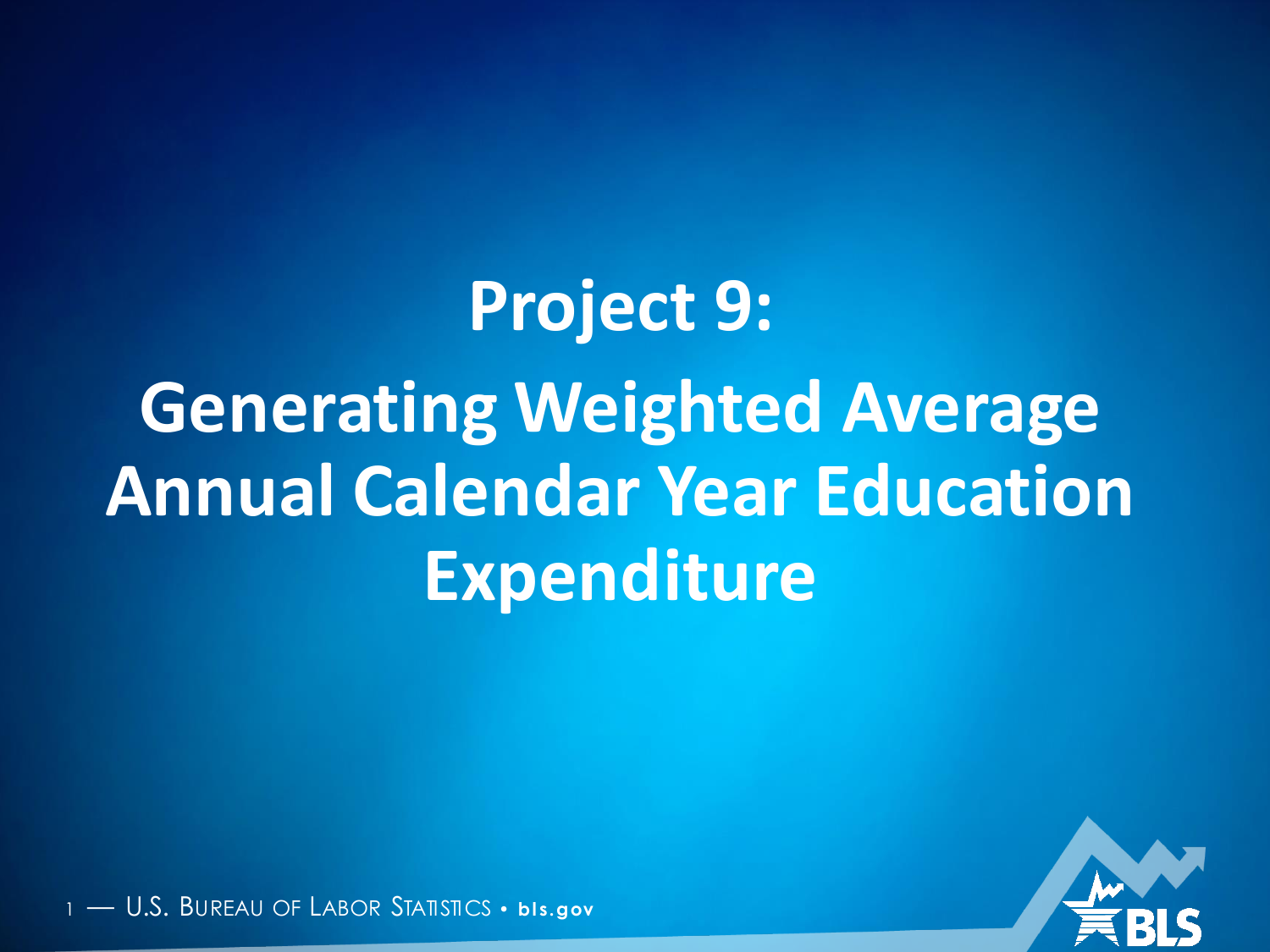**Project 9: Generating Weighted Average Annual Calendar Year Education Expenditure**



U.S. BUREAU OF LABOR STATISTICS · **bis.gov**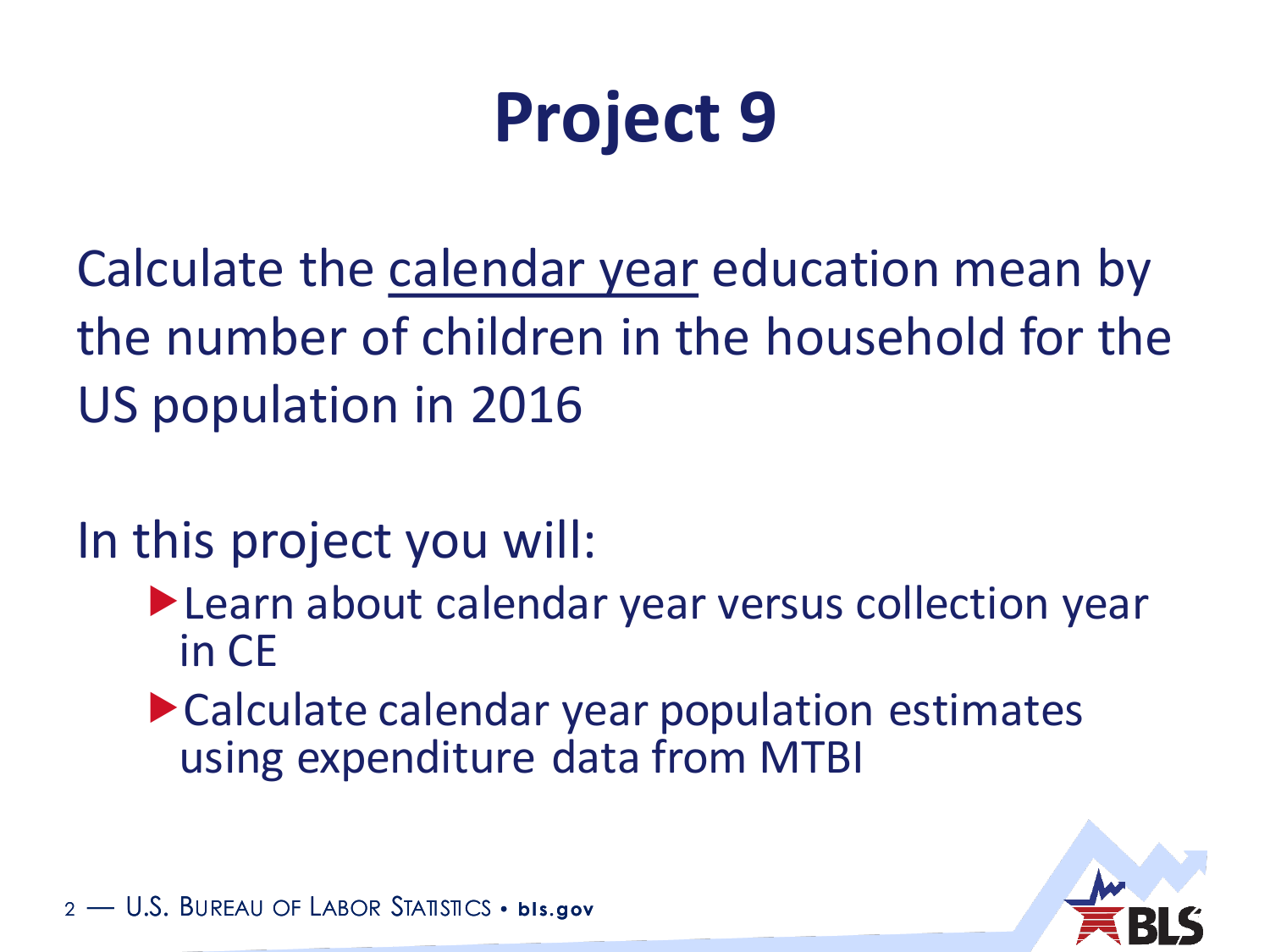# **Project 9**

Calculate the calendar year education mean by the number of children in the household for the US population in 2016

In this project you will:

- Learn about calendar year versus collection year in CE
- Calculate calendar year population estimates using expenditure data from MTBI

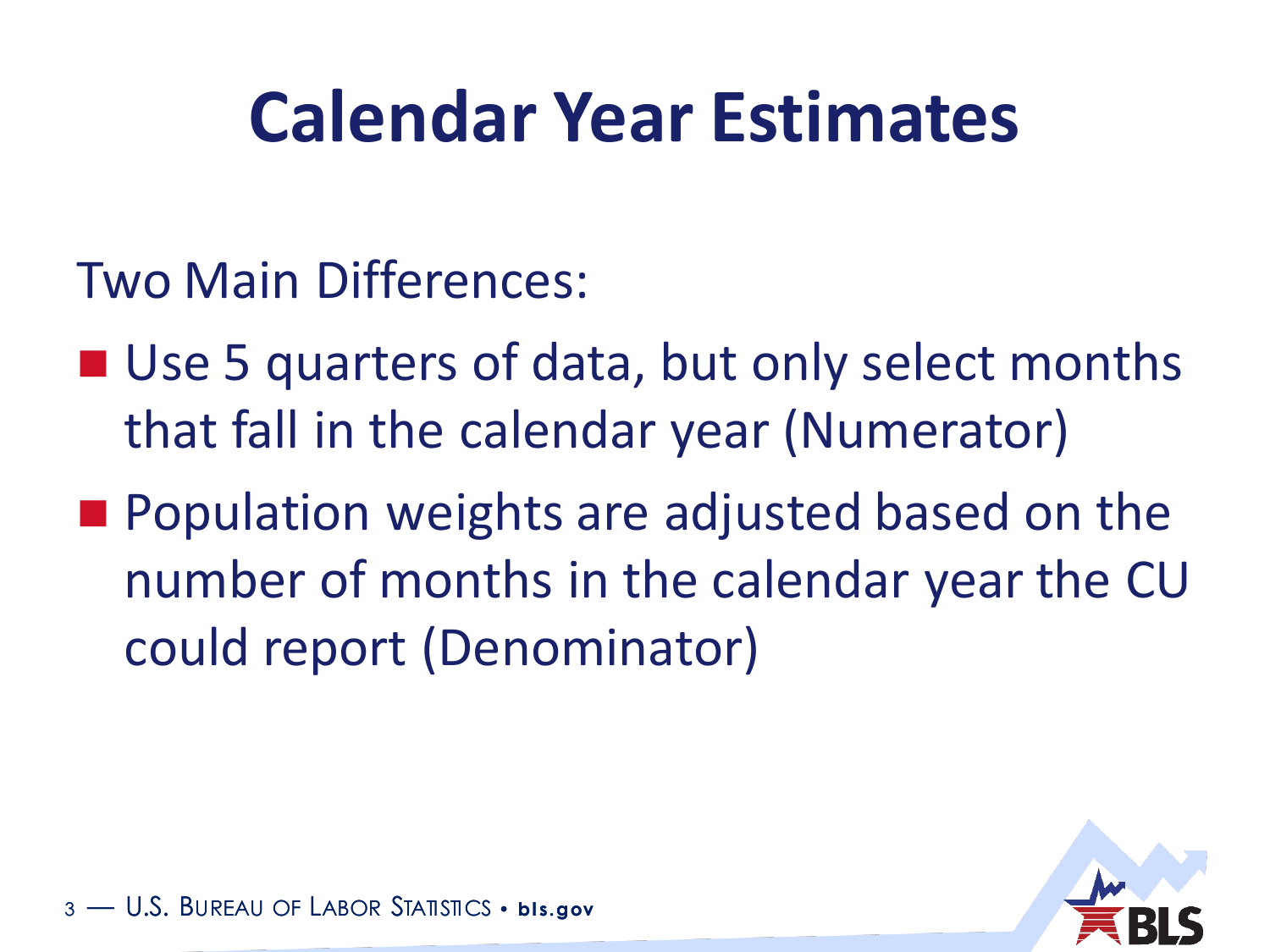## **Calendar Year Estimates**

- Two Main Differences:
- Use 5 quarters of data, but only select months that fall in the calendar year (Numerator)
- **Population weights are adjusted based on the** number of months in the calendar year the CU could report (Denominator)

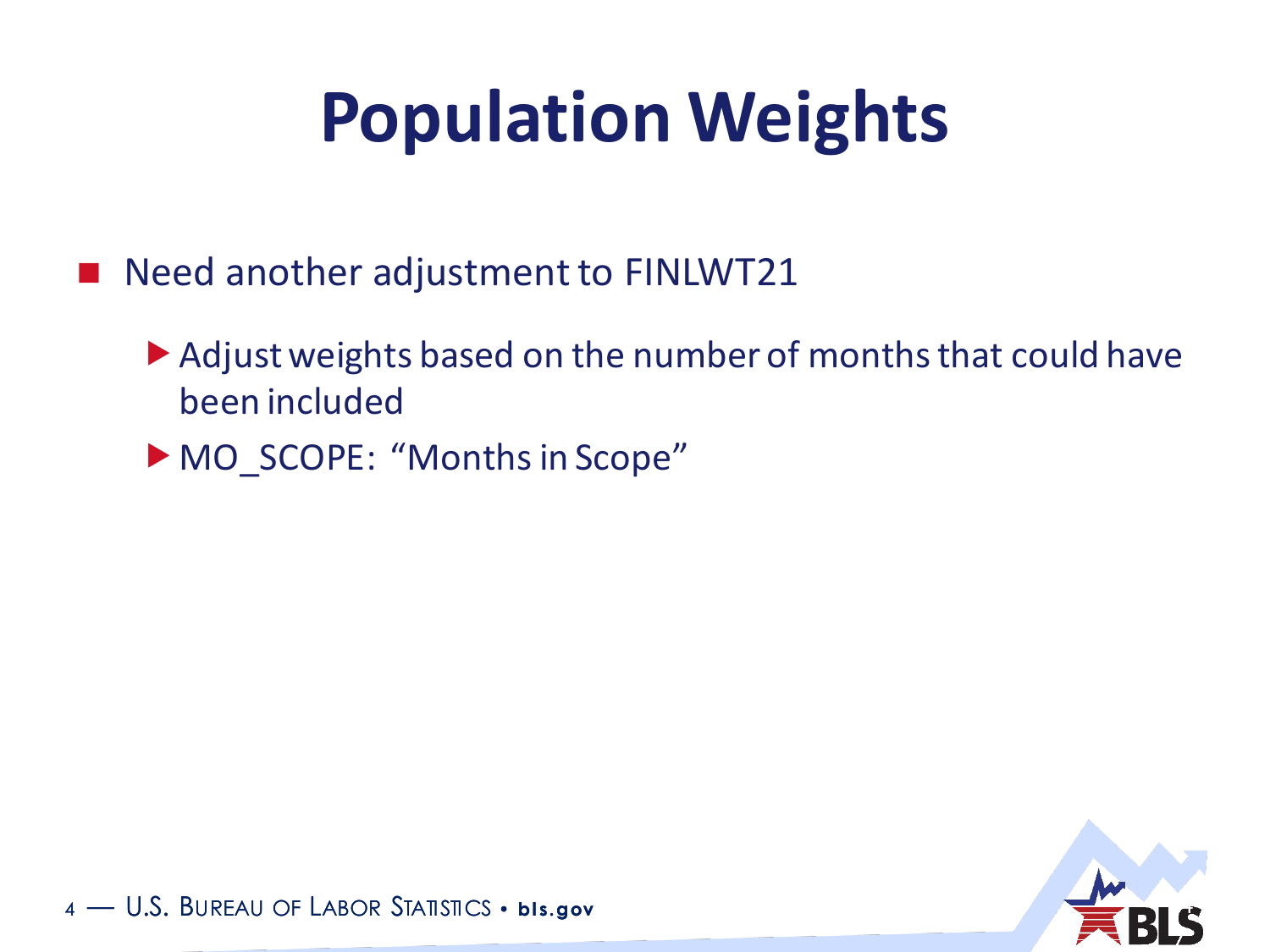# **Population Weights**

- Need another adjustment to FINLWT21
	- Adjust weights based on the number of months that could have been included
	- MO\_SCOPE: "Months in Scope"



<sup>4</sup> — U.S. BUREAU OF LABOR STATISTICS • **bl s.gov** 4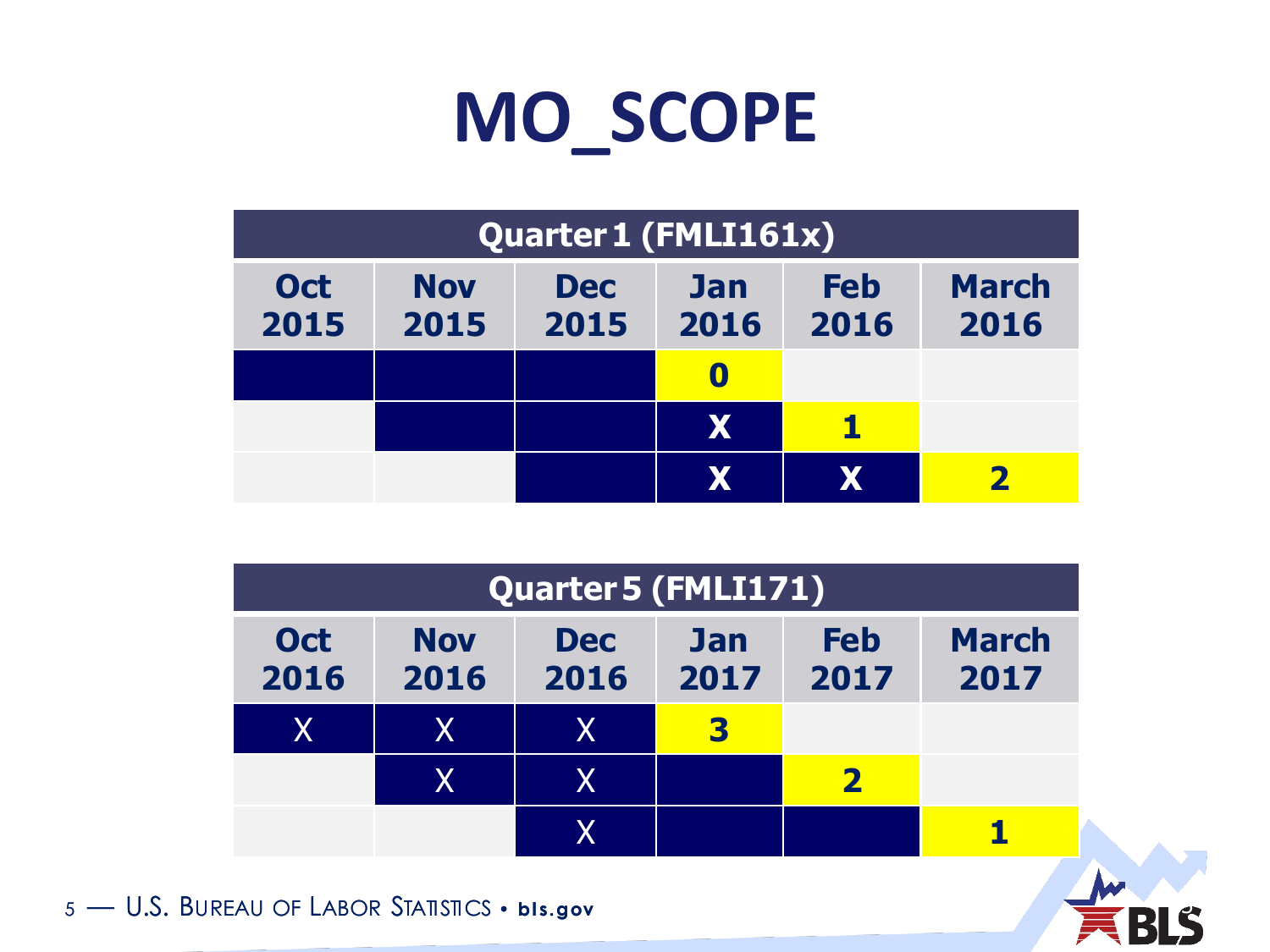## **MO\_SCOPE**

| Quarter 1 (FMLI161x) |                    |                    |                    |                    |                      |
|----------------------|--------------------|--------------------|--------------------|--------------------|----------------------|
| <b>Oct</b><br>2015   | <b>Nov</b><br>2015 | <b>Dec</b><br>2015 | <b>Jan</b><br>2016 | <b>Feb</b><br>2016 | <b>March</b><br>2016 |
|                      |                    |                    |                    |                    |                      |
|                      |                    |                    | X                  |                    |                      |
|                      |                    |                    | X                  | Х                  |                      |

| <b>Quarter 5 (FMLI171)</b> |                           |                    |                    |                         |                      |
|----------------------------|---------------------------|--------------------|--------------------|-------------------------|----------------------|
| <b>Oct</b><br>2016         | <b>Nov</b><br>2016        | <b>Dec</b><br>2016 | <b>Jan</b><br>2017 | <b>Feb</b><br>2017      | <b>March</b><br>2017 |
| $\overline{\mathsf{X}}$    | X.                        | X                  | 3                  |                         |                      |
|                            | $\boldsymbol{\mathsf{X}}$ | X                  |                    | $\overline{\mathbf{2}}$ |                      |
|                            |                           | χ                  |                    |                         |                      |

5 - U.S. BUREAU OF LABOR STATISTICS • **bis.gov**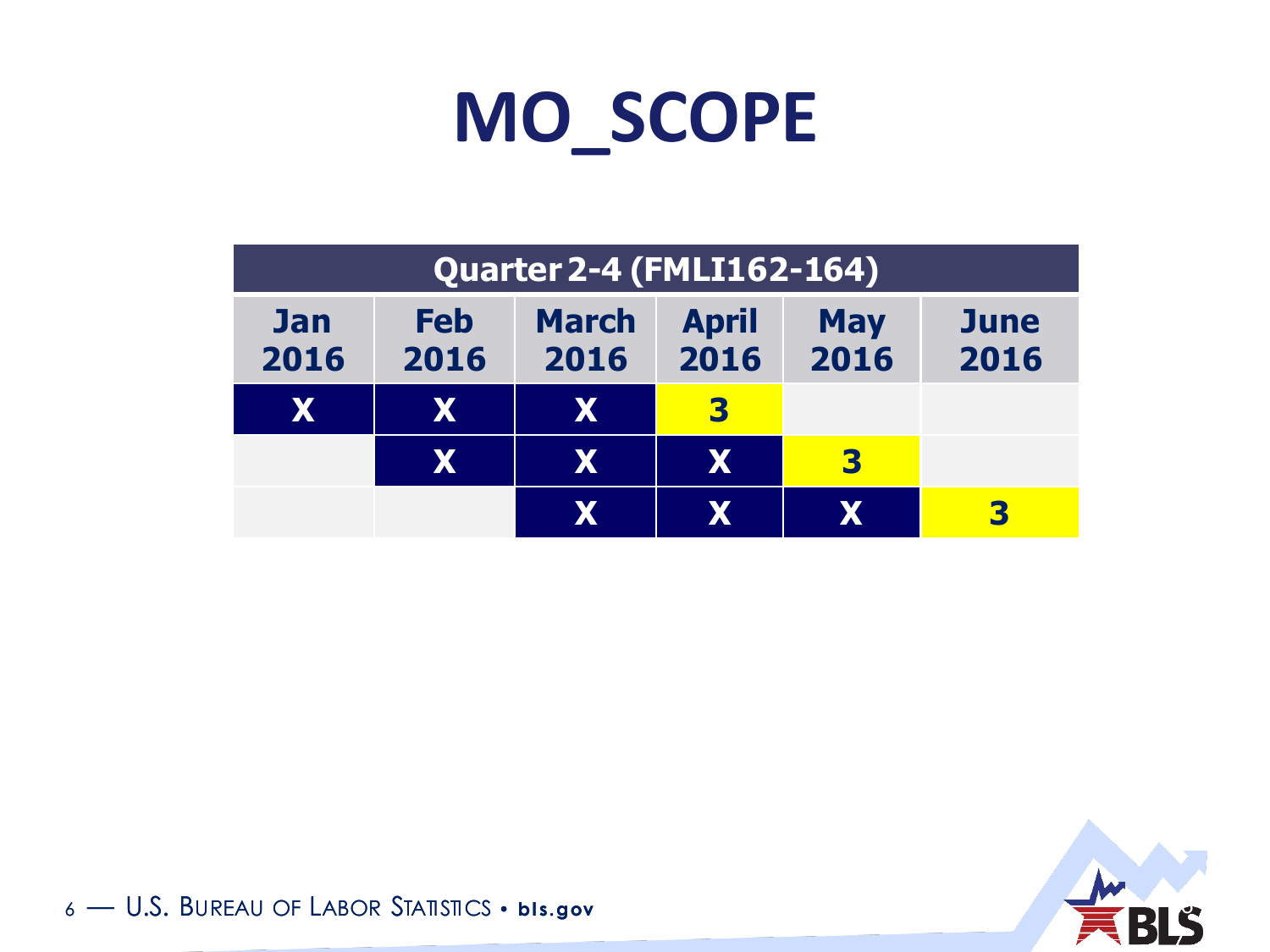

| <b>Quarter 2-4 (FMLI162-164)</b> |                    |                      |                      |                    |              |
|----------------------------------|--------------------|----------------------|----------------------|--------------------|--------------|
| <b>Jan</b><br>2016               | <b>Feb</b><br>2016 | <b>March</b><br>2016 | <b>April</b><br>2016 | <b>May</b><br>2016 | June<br>2016 |
| X                                | X                  | X                    | 3                    |                    |              |
|                                  | X                  | X                    | IXI                  | 3                  |              |
|                                  |                    | X                    | X                    | X                  | 3            |



<sup>6</sup> — U.S. BUREAU OF LABOR STATISTICS • **bl s.gov** 6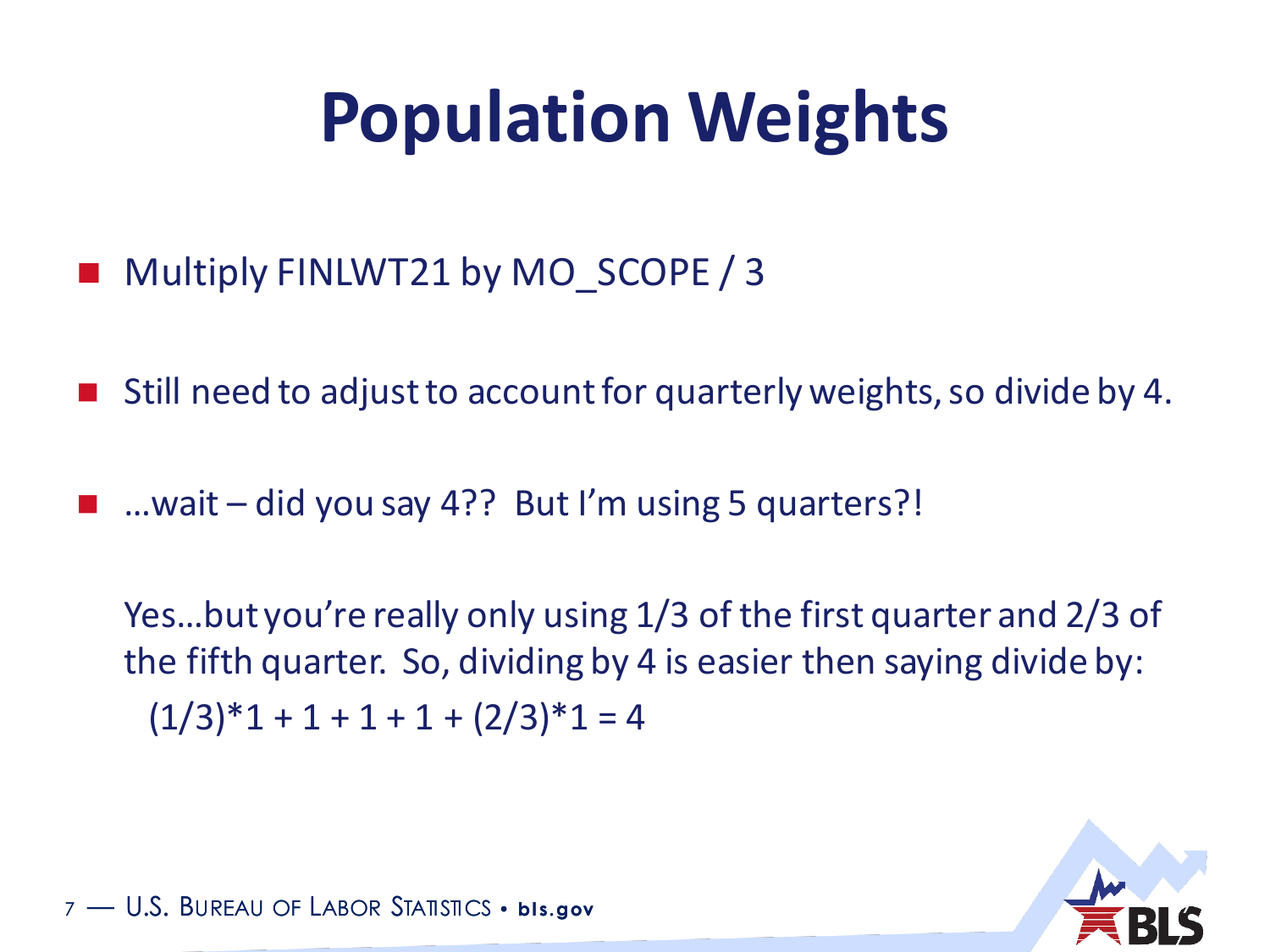# **Population Weights**

- Multiply FINLWT21 by MO\_SCOPE / 3
- Still need to adjust to account for quarterly weights, so divide by 4.
- …wait did you say 4?? But I'm using 5 quarters?!

Yes…but you're really only using 1/3 of the first quarter and 2/3 of the fifth quarter. So, dividing by 4 is easier then saying divide by:  $(1/3)*1 + 1 + 1 + 1 + (2/3)*1 = 4$ 



<sup>7</sup> — U.S. BUREAU OF LABOR STATISTICS • **bl s.gov** 7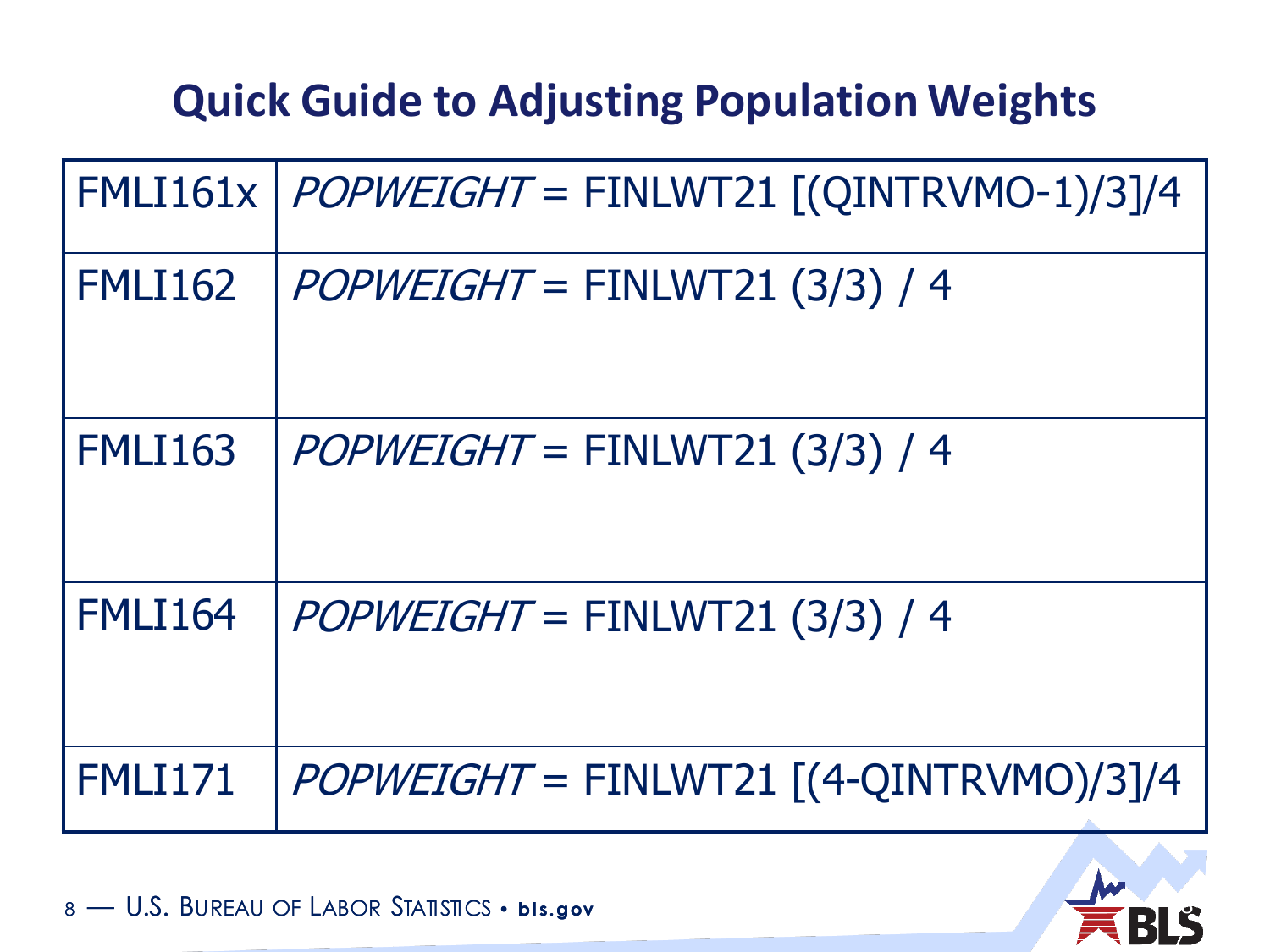#### **Quick Guide to Adjusting Population Weights**

|                | $FMLI61x$   $POPWEIGHT = FINLWT21$ [( $QINTRVMO-1$ )/3]/4 |
|----------------|-----------------------------------------------------------|
| <b>FMLI162</b> | $POPWEIGHT = FINLWT21 (3/3) / 4$                          |
| <b>FMLI163</b> | $POPWEIGHT = FINLWT21 (3/3) / 4$                          |
| <b>FMLI164</b> | $POPWEIGHT = FINLWT21 (3/3) / 4$                          |
| FMLI171        | $POPWEIGHT = FINLWT21 [(4-QINTRVMO)/3]/4$                 |



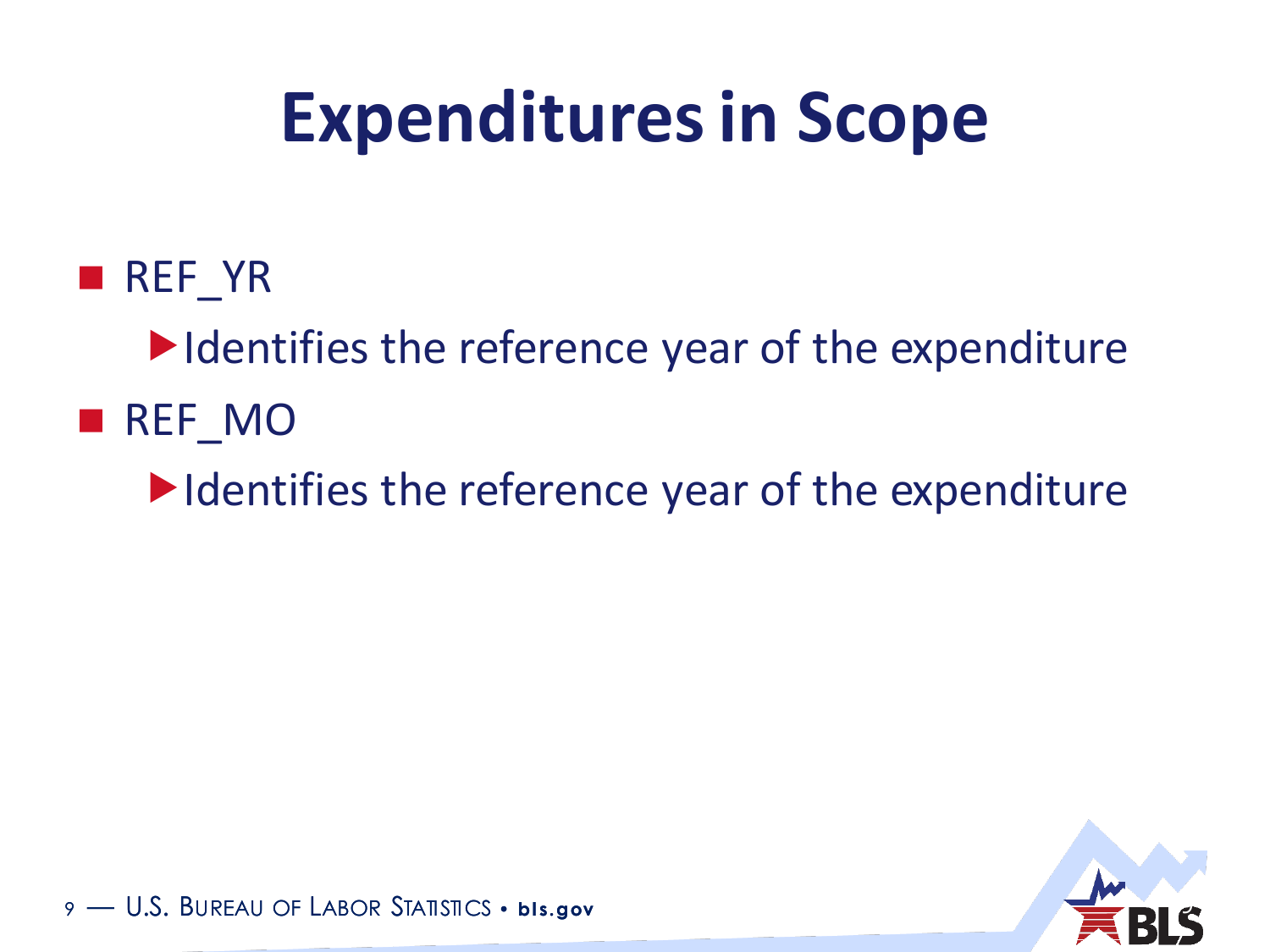## **Expenditures in Scope**

**REF** YR

 $\blacktriangleright$  Identifies the reference year of the expenditure

**REF\_MO** 

 $\blacktriangleright$  Identifies the reference year of the expenditure



9 - U.S. BUREAU OF LABOR STATISTICS • **bis.gov**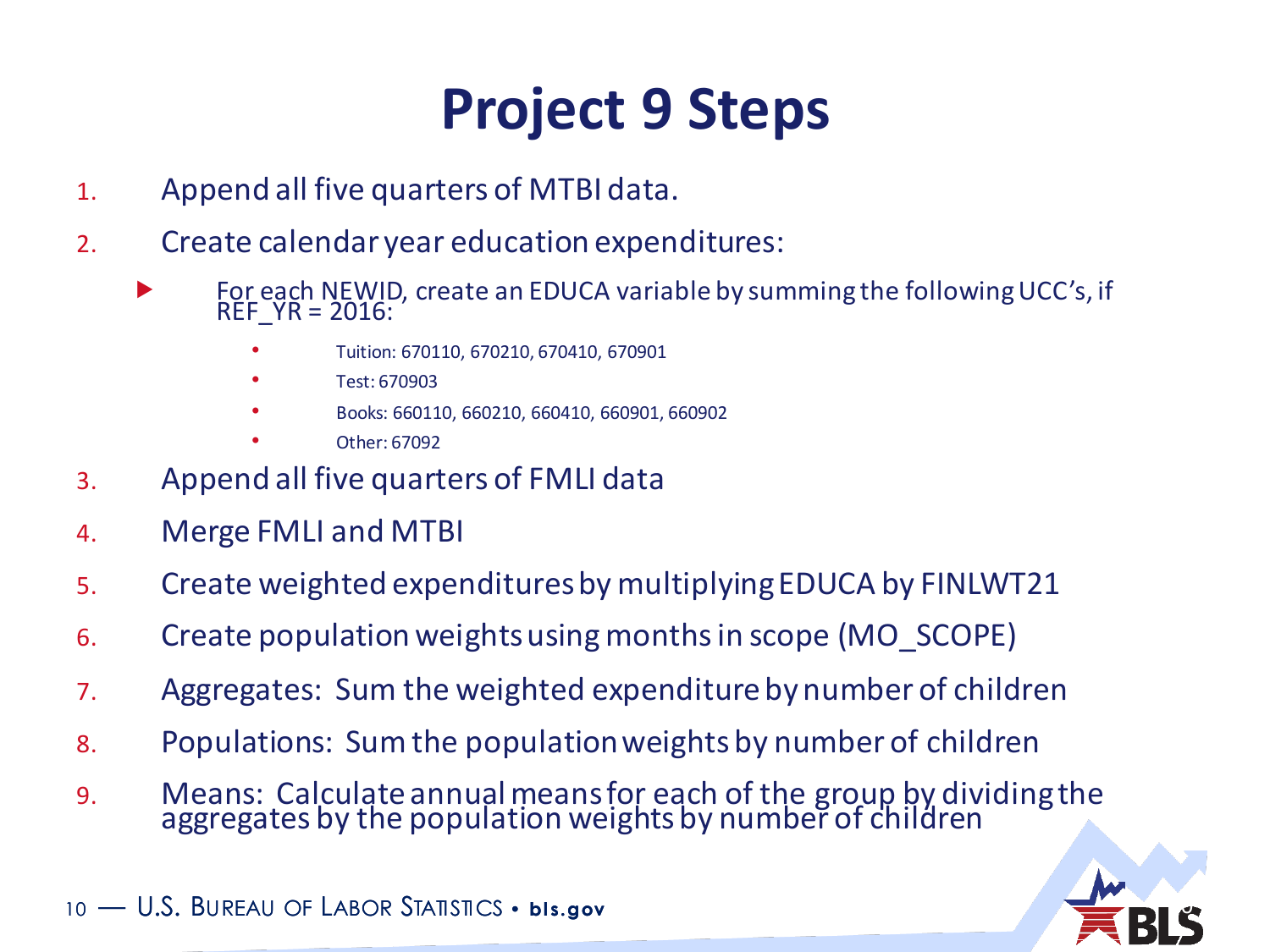### **Project 9 Steps**

- 1. Append all five quarters of MTBI data.
- 2. Create calendar year education expenditures:
	- **FOR EACH NEWID, create an EDUCA variable by summing the following UCC's, if** REF\_YR = 2016:
		- Tuition: 670110, 670210, 670410, 670901
		- Test: 670903
		- Books: 660110, 660210, 660410, 660901, 660902
		- Other: 67092
- 3. Append all five quarters of FMLI data
- 4. Merge FMLI and MTBI
- 5. Create weighted expenditures by multiplying EDUCA by FINLWT21
- 6. Create population weights using months in scope (MO\_SCOPE)
- 7. Aggregates: Sum the weighted expenditure by number of children
- 8. Populations: Sum the population weights by number of children
- 9. Means: Calculate annual means for each of the group by dividing the aggregates by the population weights by number of children



10 - U.S. BUREAU OF LABOR STATISTICS · bis.gov